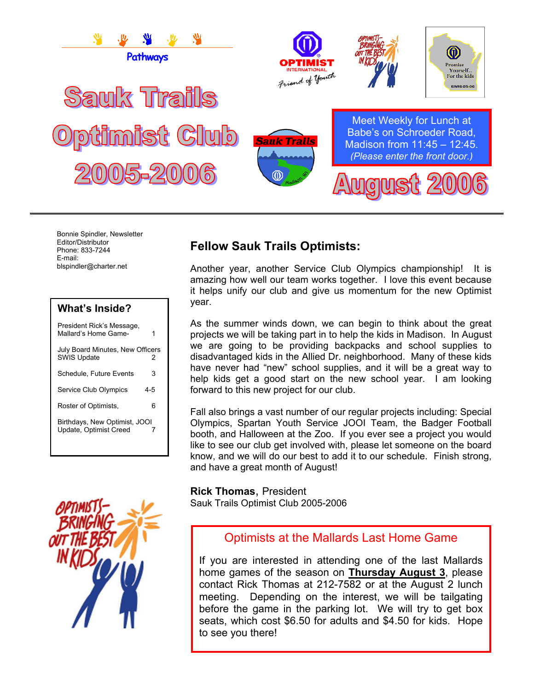

Bonnie Spindler, Newsletter Editor/Distributor Phone: 833-7244 E-mail: blspindler@charter.net

# **What's Inside?**

| President Rick's Message,<br>Mallard's Home Game-       | 1   |
|---------------------------------------------------------|-----|
| July Board Minutes, New Officers<br><b>SWIS Update</b>  | 2   |
| Schedule, Future Events                                 | 3   |
| <b>Service Club Olympics</b>                            | 4-5 |
| Roster of Optimists,                                    | 6   |
| Birthdays, New Optimist, JOOI<br>Update, Optimist Creed | 7   |



# **Fellow Sauk Trails Optimists:**

Another year, another Service Club Olympics championship! It is amazing how well our team works together. I love this event because it helps unify our club and give us momentum for the new Optimist year.

As the summer winds down, we can begin to think about the great projects we will be taking part in to help the kids in Madison. In August we are going to be providing backpacks and school supplies to disadvantaged kids in the Allied Dr. neighborhood. Many of these kids have never had "new" school supplies, and it will be a great way to help kids get a good start on the new school year. I am looking forward to this new project for our club.

Fall also brings a vast number of our regular projects including: Special Olympics, Spartan Youth Service JOOI Team, the Badger Football booth, and Halloween at the Zoo. If you ever see a project you would like to see our club get involved with, please let someone on the board know, and we will do our best to add it to our schedule. Finish strong, and have a great month of August!

**Rick Thomas**, President Sauk Trails Optimist Club 2005-2006

# Optimists at the Mallards Last Home Game

If you are interested in attending one of the last Mallards home games of the season on **Thursday August 3**, please contact Rick Thomas at 212-7582 or at the August 2 lunch meeting. Depending on the interest, we will be tailgating before the game in the parking lot. We will try to get box seats, which cost \$6.50 for adults and \$4.50 for kids. Hope to see you there!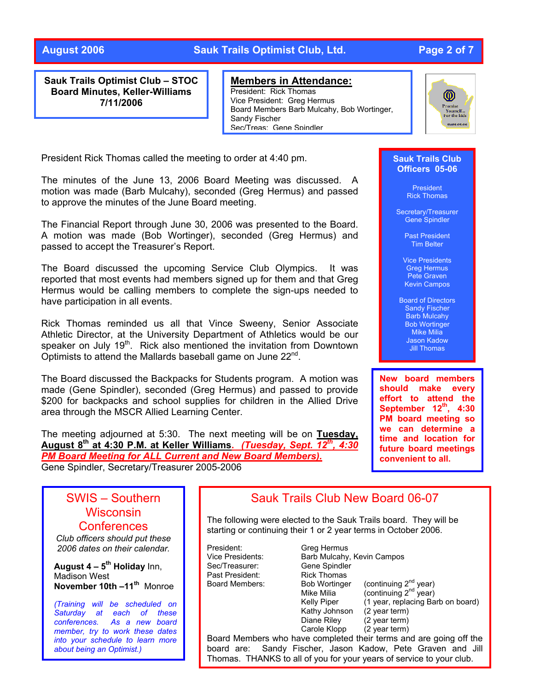## **August 2006 Sauk Trails Optimist Club, Ltd. Page 2 of 7**

**Sauk Trails Optimist Club – STOC Board Minutes, Keller-Williams 7/11/2006** 

### **Members in Attendance:**

President: Rick Thomas Vice President: Greg Hermus Board Members Barb Mulcahy, Bob Wortinger, Sandy Fischer Sec/Treas: Gene Spindler



President Rick Thomas called the meeting to order at 4:40 pm.

The minutes of the June 13, 2006 Board Meeting was discussed. A motion was made (Barb Mulcahy), seconded (Greg Hermus) and passed to approve the minutes of the June Board meeting.

The Financial Report through June 30, 2006 was presented to the Board. A motion was made (Bob Wortinger), seconded (Greg Hermus) and passed to accept the Treasurer's Report.

The Board discussed the upcoming Service Club Olympics. It was reported that most events had members signed up for them and that Greg Hermus would be calling members to complete the sign-ups needed to have participation in all events.

Rick Thomas reminded us all that Vince Sweeny, Senior Associate Athletic Director, at the University Department of Athletics would be our speaker on July 19<sup>th</sup>. Rick also mentioned the invitation from Downtown Optimists to attend the Mallards baseball game on June 22nd.

The Board discussed the Backpacks for Students program. A motion was made (Gene Spindler), seconded (Greg Hermus) and passed to provide \$200 for backpacks and school supplies for children in the Allied Drive area through the MSCR Allied Learning Center.

The meeting adjourned at 5:30. The next meeting will be on **Tuesday, August 8th at 4:30 P.M. at Keller Williams.** *(Tuesday, Sept. 12th, 4:30 PM Board Meeting for ALL Current and New Board Members).* Gene Spindler, Secretary/Treasurer 2005-2006

### **Sauk Trails Club Officers 05-06**

President Rick Thomas

Secretary/Treasurer Gene Spindler

> Past President Tim Belter

Vice Presidents Greg Hermus Pete Graven Kevin Campos

Board of Directors Sandy Fischer Barb Mulcahy Bob Wortinger Mike Milia Jason Kadow Jill Thomas

**New board members should make every effort to attend the September 12th, 4:30 PM board meeting so we can determine a time and location for future board meetings convenient to all.** 

# SWIS – Southern **Wisconsin Conferences**

*Club officers should put these 2006 dates on their calendar .*

**August 4 – 5<sup>th</sup> Holiday** Inn, **November 10th –11<sup>th</sup> Monroe** Madison West

*(Training will be scheduled on Saturday at each of these conferences. As a new board member, try to work these dates into your schedule to learn more about being an Optimist.)* 

# Sauk Trails Club New Board 06-07

The following were elected to the Sauk Trails board. They will be starting or continuing their 1 or 2 year terms in October 2006.

President: Greg Hermus Vice Presidents: Barb Mulcahy, Kevin Campos Sec/Treasurer: Gene Spindler Past President: Rick Thomas

 Kathy Johnson (2 year term) Diane Riley (2 year term)

Board Members: Bob Wortinger (continuing 2<sup>nd</sup> year) Mike Milia  $\overline{a}$  (continuing  $2^{nd}$  year) Kelly Piper (1 year, replacing Barb on board) Carole Klopp (2 year term)

Board Members who have completed their terms and are going off the board are: Sandy Fischer, Jason Kadow, Pete Graven and Jill Thomas. THANKS to all of you for your years of service to your club.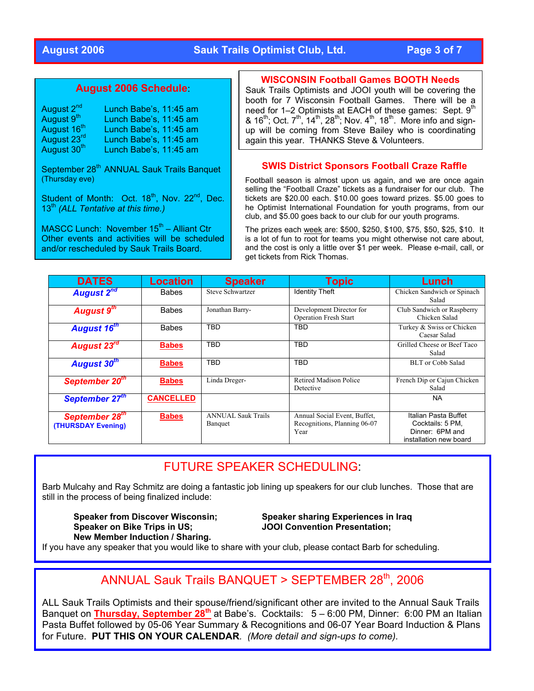### **August 2006 Sauk Trails Optimist Club, Ltd. Page 3 of 7**

### **August 2006 Schedule**:

| August 2 <sup>nd</sup>  | Lunch Babe's, 11:45 am |
|-------------------------|------------------------|
| August 9 <sup>th</sup>  | Lunch Babe's, 11:45 am |
| August 16 <sup>th</sup> | Lunch Babe's, 11:45 am |
| August 23rd             | Lunch Babe's, 11:45 am |
| August 30 <sup>th</sup> | Lunch Babe's, 11:45 am |

September 28<sup>th</sup> ANNUAL Sauk Trails Banquet (Thursday eve)

Student of Month: Oct. 18<sup>th</sup>, Nov. 22<sup>nd</sup>, Dec. 13<sup>th</sup> *(ALL Tentative at this time.)* 

MASCC Lunch: November  $15<sup>th</sup>$  – Alliant Ctr Other events and activities will be scheduled and/or rescheduled by Sauk Trails Board.

### **WISCONSIN Football Games BOOTH Needs**

Sauk Trails Optimists and JOOI youth will be covering the booth for 7 Wisconsin Football Games. There will be a need for 1–2 Optimists at EACH of these games: Sept. 9<sup>th</sup>  $\frac{1}{2}$  16<sup>th</sup>; Oct. 7<sup>th</sup>, 14<sup>th</sup>, 28<sup>th</sup>; Nov. 4<sup>th</sup>, 18<sup>th</sup>. More info and signup will be coming from Steve Bailey who is coordinating again this year. THANKS Steve & Volunteers.

### **SWIS District Sponsors Football Craze Raffle**

Football season is almost upon us again, and we are once again selling the "Football Craze" tickets as a fundraiser for our club. The tickets are \$20.00 each. \$10.00 goes toward prizes. \$5.00 goes to he Optimist International Foundation for youth programs, from our club, and \$5.00 goes back to our club for our youth programs.

The prizes each week are: \$500, \$250, \$100, \$75, \$50, \$25, \$10. It is a lot of fun to root for teams you might otherwise not care about, and the cost is only a little over \$1 per week. Please e-mail, call, or get tickets from Rick Thomas.

| <b>DATES</b>                                     | <b>Location</b>  | <b>Speaker</b>                       | Topic                                                                | Lunch                                                                                 |
|--------------------------------------------------|------------------|--------------------------------------|----------------------------------------------------------------------|---------------------------------------------------------------------------------------|
| <b>August 2<sup>nd</sup></b>                     | <b>Babes</b>     | Steve Schwartzer                     | <b>Identity Theft</b>                                                | Chicken Sandwich or Spinach<br>Salad                                                  |
| August 9 <sup>th</sup>                           | <b>Babes</b>     | Jonathan Barry-                      | Development Director for<br><b>Operation Fresh Start</b>             | Club Sandwich or Raspberry<br>Chicken Salad                                           |
| <b>August 16th</b>                               | <b>Babes</b>     | TBD                                  | TBD                                                                  | Turkey & Swiss or Chicken<br>Caesar Salad                                             |
| August 23 <sup>rd</sup>                          | <b>Babes</b>     | <b>TBD</b>                           | <b>TBD</b>                                                           | Grilled Cheese or Beef Taco<br>Salad                                                  |
| August 30 <sup>th</sup>                          | <b>Babes</b>     | <b>TBD</b>                           | <b>TBD</b>                                                           | <b>BLT</b> or Cobb Salad                                                              |
| September 20 <sup>th</sup>                       | <b>Babes</b>     | Linda Dreger-                        | Retired Madison Police<br>Detective                                  | French Dip or Cajun Chicken<br>Salad                                                  |
| September 27 <sup>th</sup>                       | <b>CANCELLED</b> |                                      |                                                                      | <b>NA</b>                                                                             |
| September 28 <sup>th</sup><br>(THURSDAY Evening) | <b>Babes</b>     | <b>ANNUAL Sauk Trails</b><br>Banquet | Annual Social Event, Buffet,<br>Recognitions, Planning 06-07<br>Year | Italian Pasta Buffet<br>Cocktails: 5 PM,<br>Dinner: 6PM and<br>installation new board |

# FUTURE SPEAKER SCHEDULING:

Barb Mulcahy and Ray Schmitz are doing a fantastic job lining up speakers for our club lunches. Those that are still in the process of being finalized include:

**Speaker from Discover Wisconsin; Speaker sharing Experiences in Iraq Speaker on Bike Trips in US; JOOI Convention Presentation; New Member Induction / Sharing.** 

If you have any speaker that you would like to share with your club, please contact Barb for scheduling.

# ANNUAL Sauk Trails BANQUET > SEPTEMBER 28th, 2006

ALL Sauk Trails Optimists and their spouse/friend/significant other are invited to the Annual Sauk Trails Banquet on Thursday, September 28<sup>th</sup> at Babe's. Cocktails: 5 – 6:00 PM, Dinner: 6:00 PM an Italian Pasta Buffet followed by 05-06 Year Summary & Recognitions and 06-07 Year Board Induction & Plans for Future. **PUT THIS ON YOUR CALENDAR***. (More detail and sign-ups to come).*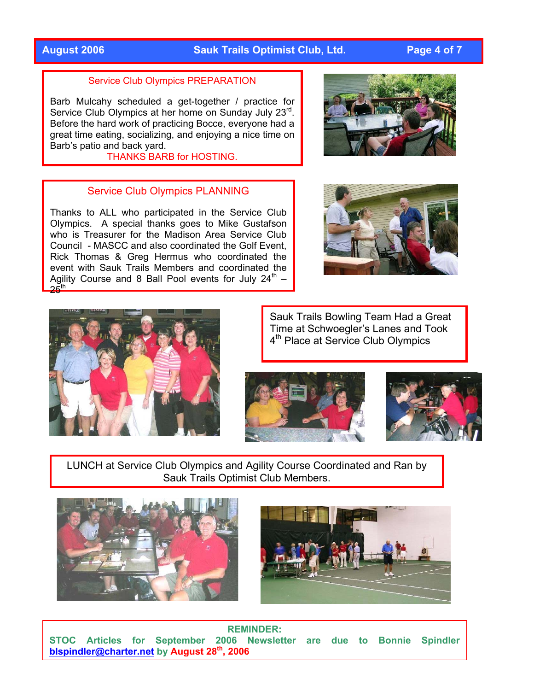# **August 2006 Sauk Trails Optimist Club, Ltd. Page 4 of 7**

### Service Club Olympics PREPARATION

Barb Mulcahy scheduled a get-together / practice for Service Club Olympics at her home on Sunday July 23<sup>rd</sup>. Before the hard work of practicing Bocce, everyone had a great time eating, socializing, and enjoying a nice time on Barb's patio and back yard.

THANKS BARB for HOSTING.

### Service Club Olympics PLANNING

Thanks to ALL who participated in the Service Club Olympics. A special thanks goes to Mike Gustafson who is Treasurer for the Madison Area Service Club Council - MASCC and also coordinated the Golf Event, Rick Thomas & Greg Hermus who coordinated the event with Sauk Trails Members and coordinated the Agility Course and 8 Ball Pool events for July  $24<sup>th</sup>$  –  $25th$ 







Sauk Trails Bowling Team Had a Great Time at Schwoegler's Lanes and Took 4<sup>th</sup> Place at Service Club Olympics





LUNCH at Service Club Olympics and Agility Course Coordinated and Ran by Sauk Trails Optimist Club Members.





**REMINDER: STOC Articles for September 2006 Newsletter are due to Bonnie Spindler [blspindler@charter.net](mailto:blspindler@charter.net) by August 28th, 2006**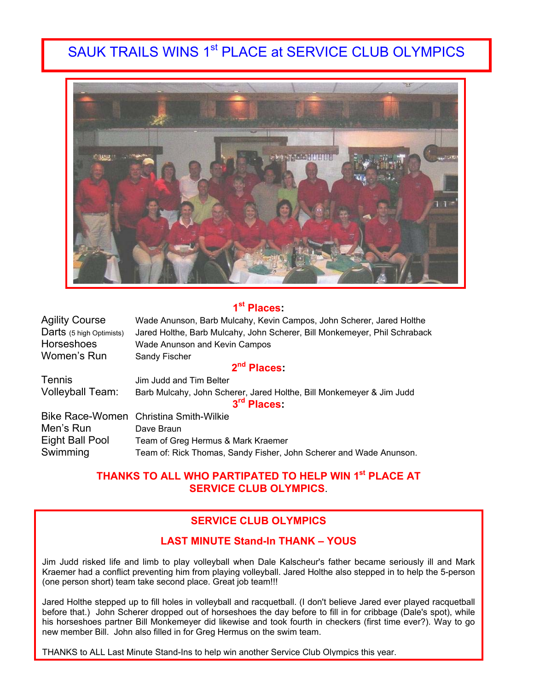# SAUK TRAILS WINS 1<sup>st</sup> PLACE at SERVICE CLUB OLYMPICS



# **1st Places:**

| <b>Agility Course</b>    | Wade Anunson, Barb Mulcahy, Kevin Campos, John Scherer, Jared Holthe      |  |  |
|--------------------------|---------------------------------------------------------------------------|--|--|
| Darts (5 high Optimists) | Jared Holthe, Barb Mulcahy, John Scherer, Bill Monkemeyer, Phil Schraback |  |  |
| <b>Horseshoes</b>        | Wade Anunson and Kevin Campos                                             |  |  |
| Women's Run              | <b>Sandy Fischer</b>                                                      |  |  |
|                          | 2 <sup>nd</sup> Places                                                    |  |  |

| <b>Tennis</b>           | Jim Judd and Tim Belter                                              |
|-------------------------|----------------------------------------------------------------------|
| <b>Volleyball Team:</b> | Barb Mulcahy, John Scherer, Jared Holthe, Bill Monkemeyer & Jim Judd |
|                         | 3 <sup>rd</sup> Places                                               |
|                         | Bike Race-Women Christina Smith-Wilkie                               |
| Men's Run               | Dave Braun                                                           |
| Eight Ball Pool         | Team of Greg Hermus & Mark Kraemer                                   |
| Swimming                | Team of: Rick Thomas, Sandy Fisher, John Scherer and Wade Anunson.   |

## **THANKS TO ALL WHO PARTIPATED TO HELP WIN 1st PLACE AT SERVICE CLUB OLYMPICS**.

## **SERVICE CLUB OLYMPICS**

### **LAST MINUTE Stand-In THANK – YOUS**

Jim Judd risked life and limb to play volleyball when Dale Kalscheur's father became seriously ill and Mark Kraemer had a conflict preventing him from playing volleyball. Jared Holthe also stepped in to help the 5-person (one person short) team take second place. Great job team!!!

Jared Holthe stepped up to fill holes in volleyball and racquetball. (I don't believe Jared ever played racquetball before that.) John Scherer dropped out of horseshoes the day before to fill in for cribbage (Dale's spot), while his horseshoes partner Bill Monkemeyer did likewise and took fourth in checkers (first time ever?). Way to go new member Bill. John also filled in for Greg Hermus on the swim team.

THANKS to ALL Last Minute Stand-Ins to help win another Service Club Olympics this year.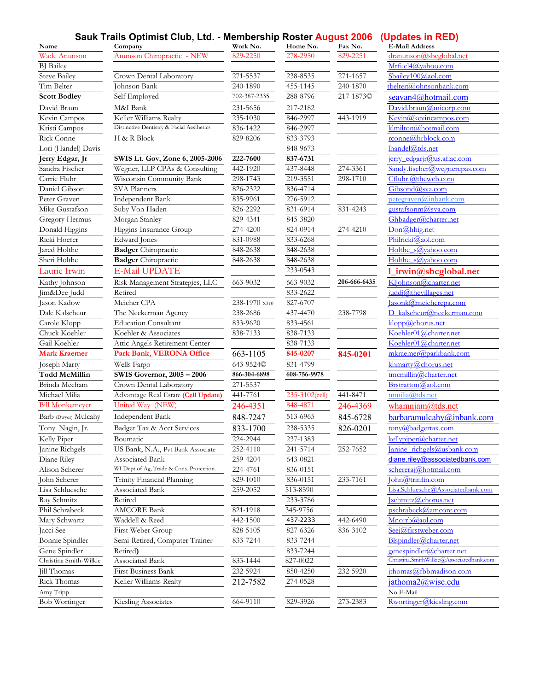### **Sauk Trails Optimist Club, Ltd. - Membership Roster August 2006 (Updates in RED)**

| Name                                    | Sauk_Frails Optimist Glub, Ltd. - Membership Roster August 2006 (Updates in RED)<br>Company | Work No.      | Home No.       | Fax No.      | <b>E-Mail Address</b>                    |
|-----------------------------------------|---------------------------------------------------------------------------------------------|---------------|----------------|--------------|------------------------------------------|
| Wade Anunson                            | Anunson Chiropractic - NEW                                                                  | 829-2250      | 278-2950       | 829-2251     | dranunson@sbcglobal.net                  |
| <b>BJ</b> Bailey                        |                                                                                             |               |                |              | Mrfuel4@vahoo.com                        |
| <b>Steve Bailey</b>                     | Crown Dental Laboratory                                                                     | 271-5537      | 238-8535       | 271-1657     | Sbailey100@aol.com                       |
| Tim Belter                              | Johnson Bank                                                                                | 240-1890      | 455-1145       | 240-1870     | tbelter@johnsonbank.com                  |
| <b>Scott Bodley</b>                     | Self Employed                                                                               | 702-387-2335  | 288-8796       | 217-1873C    | seavan4@hotmail.com                      |
| David Braun                             | M&I Bank                                                                                    | 231-5656      | 217-2182       |              | David.braun@micorp.com                   |
| Kevin Campos                            | Keller Williams Realty                                                                      | 235-1030      | 846-2997       | 443-1919     | Kevin@kevincampos.com                    |
| Kristi Campos                           | Distinctive Dentistry & Facial Aesthetics                                                   | 836-1422      | 846-2997       |              | klmilton@hotmail.com                     |
| Rick Conne                              | H & R Block                                                                                 | 829-8206      | 833-3793       |              | rconne@hrblock.com                       |
| Lori (Handel) Davis                     |                                                                                             |               | 848-9673       |              | lhandel@tds.net                          |
| Jerry Edgar, Jr                         | SWIS Lt. Gov, Zone 6, 2005-2006                                                             | 222-7600      | 837-6731       |              | <u>jerry edgarjr@us.aflac.com</u>        |
| Sandra Fischer                          | Wegner, LLP CPAs & Consulting                                                               | 442-1920      | 437-8448       | 274-3361     | Sandy.fischer@wegnercpas.com             |
| Carrie Fluhr                            | Wisconsin Community Bank                                                                    | 298-1743      | 219-3551       | 298-1710     | Cfluhr.@thewcb.com                       |
| Daniel Gibson                           | SVA Planners                                                                                | 826-2322      | 836-4714       |              | Gibsond@sva.com                          |
| Peter Graven                            | Independent Bank                                                                            | 835-9961      | 276-5912       |              | petegraven@inbank.com                    |
| Mike Gustafson                          | Suby Von Haden                                                                              | 826-2292      | 831-6914       | 831-4243     | gustafsonm@sva.com                       |
| Gregory Hermus                          | Morgan Stanley                                                                              | 829-4341      | 845-3820       |              | Ghbadger@charter.net                     |
| Donald Higgins                          | Higgins Insurance Group                                                                     | 274-4200      | 824-0914       | 274-4210     | Don@hhig.net                             |
| Ricki Hoefer                            | Edward Jones                                                                                | 831-0988      | 833-6268       |              | Philricki@aol.com                        |
| Jared Holthe                            | <b>Badger</b> Chiropractic                                                                  | 848-2638      | 848-2638       |              | Holthe s@yahoo.com                       |
| Sheri Holthe                            | <b>Badger</b> Chiropractic                                                                  | 848-2638      | 848-2638       |              | Holthe s@vahoo.com                       |
|                                         | <b>E-Mail UPDATE</b>                                                                        |               | 233-0543       |              |                                          |
| Laurie Irwin                            |                                                                                             |               |                |              | 1_irwin@sbcglobal.net                    |
| Kathy Johnson                           | Risk Management Strategies, LLC                                                             | 663-9032      | 663-9032       | 206-666-6435 | Kljohnson@charter.net                    |
| Jim&Dee Judd                            | Retired                                                                                     |               | 833-2622       |              | juddj@thevillages.net                    |
| Jason Kadow                             | Meicher CPA                                                                                 | 238-1970 x310 | 827-6707       |              | asonk@meichercpa.com                     |
| Dale Kalscheur                          | The Neckerman Agency                                                                        | 238-2686      | 437-4470       | 238-7798     | D kalscheur@neckerman.com                |
| Carole Klopp                            | <b>Education Consultant</b>                                                                 | 833-9620      | 833-4561       |              | klop@chorus.net                          |
| Chuck Koehler                           | Koehler & Associates                                                                        | 838-7133      | 838-7133       |              | Koehler01@charter.net                    |
| Gail Koehler<br><b>Mark Kraemer</b>     | Attic Angels Retirement Center                                                              |               | 838-7133       |              | Koehler01@charter.net                    |
|                                         | Park Bank, VERONA Office                                                                    | 663-1105      | 845-0207       | 845-0201     | mkraemer@parkbank.com                    |
| Joseph Marty                            | Wells Fargo                                                                                 | 643-9524©     | 831-4799       |              | khmarty@chorus.net                       |
| <b>Todd McMillin</b>                    | <b>SWIS Governor, 2005 - 2006</b>                                                           | 866-304-6898  | 608-756-9978   |              | tmcmillin@charter.net                    |
| Brinda Mecham                           | Crown Dental Laboratory                                                                     | 271-5537      |                |              | Brstratton@aol.com                       |
| Michael Milia                           | Advantage Real Estate (Cell Update)                                                         | 441-7761      | 235-3102(cell) | 441-8471     | mmilia@tds.net                           |
| <b>Bill Monkemeyer</b>                  | United Way (NEW)                                                                            | 246-4351      | 848-4871       | 246-4369     | whamnjam@tds.net                         |
| Barb (Dwyer) Mulcahy                    | Independent Bank                                                                            | 848-7247      | 513-6965       | 845-6728     | barbaramulcahy@inbank.com                |
| Tony Nagin, Jr.                         | Badger Tax & Acct Services                                                                  | 833-1700      | 238-5335       | 826-0201     | tony@badgertax.com                       |
| Kelly Piper                             | Boumatic                                                                                    | 224-2944      | 237-1383       |              | kellypiper@charter.net                   |
| Janine Richgels                         | US Bank, N.A., Pvt Bank Associate                                                           | 252-4110      | 241-5714       | 252-7652     | Janine richgels@usbank.com               |
| Diane Riley                             | Associated Bank                                                                             | 259-4204      | 643-0821       |              | diane.riley@associatedbank.com           |
| Alison Scherer                          | WI Dept of Ag, Trade & Cons. Protection.                                                    | 224-4761      | 836-0151       |              | schereraj@hotmail.com                    |
| John Scherer                            | Trinity Financial Planning                                                                  | 829-1010      | 836-0151       | 233-7161     | John@trinfin.com                         |
| Lisa Schluesche                         | Associated Bank                                                                             | 259-2052      | 513-8590       |              | Lisa.Schluesche@Associatedbank.com       |
| Ray Schmitz                             | Retired                                                                                     |               | 233-3786       |              | schmitz@chorus.net                       |
| Phil Schrabeck                          | <b>AMCORE Bank</b>                                                                          | 821-1918      | 345-9756       |              | pschrabeck@amcore.com                    |
| Mary Schwartz                           | Waddell & Reed                                                                              | 442-1500      | 437-2233       | 442-6490     | Mnorrb@aol.com                           |
| Jacci See                               | First Weber Group                                                                           | 828-5105      | 827-6326       | 836-3102     | Seej@firstweber.com                      |
| Bonnie Spindler                         | Semi-Retired, Computer Trainer                                                              | 833-7244      | 833-7244       |              | Blspindler@charter.net                   |
|                                         | Retired)                                                                                    |               | 833-7244       |              | genespindler@charter.net                 |
|                                         |                                                                                             |               |                |              |                                          |
| Gene Spindler<br>Christina Smith-Wilkie | Associated Bank                                                                             | 833-1444      | 827-0022       |              | Christina.SmithWilkie@Associatedbank.com |
| Jill Thomas                             | First Business Bank                                                                         | 232-5924      | 850-4250       | 232-5920     | jthomas@fbbmadison.com                   |
| Rick Thomas                             | Keller Williams Realty                                                                      | 212-7582      | 274-0528       |              | jathoma2@wisc.edu                        |
| Amy Tripp<br><b>Bob Wortinger</b>       | Kiesling Associates                                                                         |               |                |              | No E-Mail<br>Rwortinger@kiesling.com     |